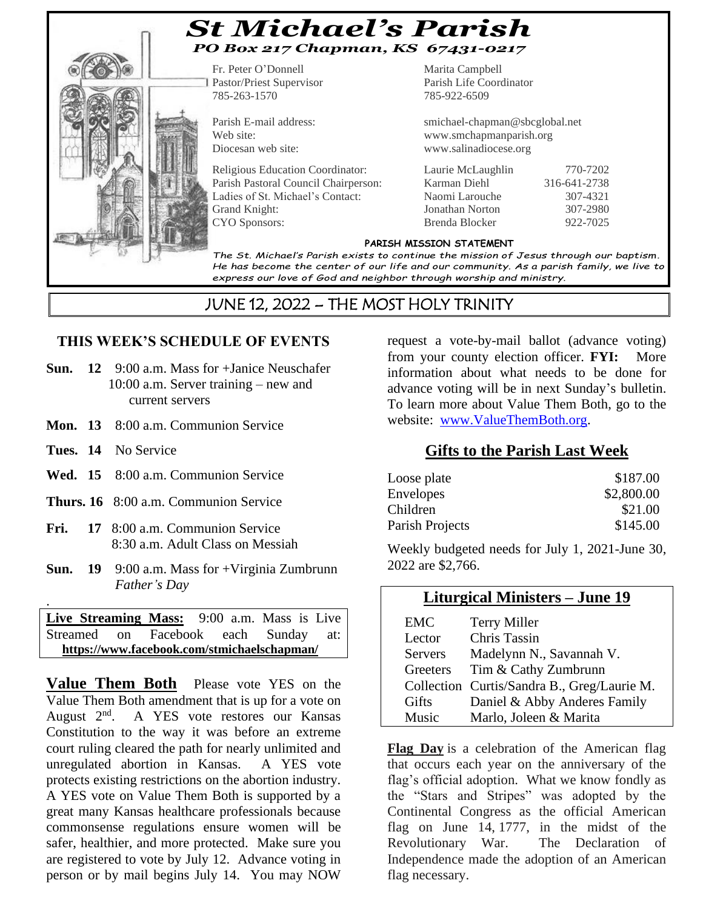

# *St Michael's Parish PO Box 217 Chapman, KS 67431-0217*

Pastor/Priest Supervisor Parish Life Coordinator 785-263-1570 785-922-6509

Fr. Peter O'Donnell Marita Campbell

Parish E-mail address: smichael-chapman@sbcglobal.net Web site: www.smchapmanparish.org Diocesan web site: www.salinadiocese.org

Religious Education Coordinator: Laurie McLaughlin 770-7202 Parish Pastoral Council Chairperson: Karman Diehl 316-641-2738 Ladies of St. Michael's Contact: Naomi Larouche 307-4321 Grand Knight: Jonathan Norton 307-2980 CYO Sponsors: Brenda Blocker 922-7025

#### **PARISH MISSION STATEMENT**

*The St. Michael's Parish exists to continue the mission of Jesus through our baptism. He has become the center of our life and our community. As a parish family, we live to express our love of God and neighbor through worship and ministry.*

# JUNE 12, 2022 – THE MOST HOLY TRINITY

#### **THIS WEEK'S SCHEDULE OF EVENTS**

- **Sun. 12** 9:00 a.m. Mass for +Janice Neuschafer 10:00 a.m. Server training – new and current servers
- **Mon. 13** 8:00 a.m. Communion Service
- **Tues. 14** No Service

.

- **Wed. 15** 8:00 a.m. Communion Service
- **Thurs. 16** 8:00 a.m. Communion Service
- **Fri. 17** 8:00 a.m. Communion Service 8:30 a.m. Adult Class on Messiah
- **Sun. 19** 9:00 a.m. Mass for +Virginia Zumbrunn *Father's Day*

**Live Streaming Mass:** 9:00 a.m. Mass is Live Streamed on Facebook each Sunday at:  **<https://www.facebook.com/stmichaelschapman/>**

**Value Them Both** Please vote YES on the Value Them Both amendment that is up for a vote on August 2<sup>nd</sup>. A YES vote restores our Kansas Constitution to the way it was before an extreme court ruling cleared the path for nearly unlimited and unregulated abortion in Kansas. A YES vote protects existing restrictions on the abortion industry. A YES vote on Value Them Both is supported by a great many Kansas healthcare professionals because commonsense regulations ensure women will be safer, healthier, and more protected. Make sure you are registered to vote by July 12. Advance voting in person or by mail begins July 14. You may NOW

request a vote-by-mail ballot (advance voting) from your county election officer. **FYI:** More information about what needs to be done for advance voting will be in next Sunday's bulletin. To learn more about Value Them Both, go to the website: [www.ValueThemBoth.org.](http://www.valuethemboth.org/)

#### **Gifts to the Parish Last Week**

| Loose plate      | \$187.00   |
|------------------|------------|
| <b>Envelopes</b> | \$2,800.00 |
| Children         | \$21.00    |
| Parish Projects  | \$145.00   |

Weekly budgeted needs for July 1, 2021-June 30, 2022 are \$2,766.

#### **Liturgical Ministers – June 19**

| EMC            | <b>Terry Miller</b>                         |
|----------------|---------------------------------------------|
| Lector         | <b>Chris Tassin</b>                         |
| <b>Servers</b> | Madelynn N., Savannah V.                    |
| Greeters       | Tim & Cathy Zumbrunn                        |
|                | Collection Curtis/Sandra B., Greg/Laurie M. |
| Gifts          | Daniel & Abby Anderes Family                |
| <b>Music</b>   | Marlo, Joleen & Marita                      |

**Flag Day** is a celebration of the American flag that occurs each year on the anniversary of the flag's official adoption. What we know fondly as the "Stars and Stripes" was adopted by the Continental Congress as the official American flag on June 14, 1777, in the midst of the Revolutionary War. The Declaration of Independence made the adoption of an American flag necessary.